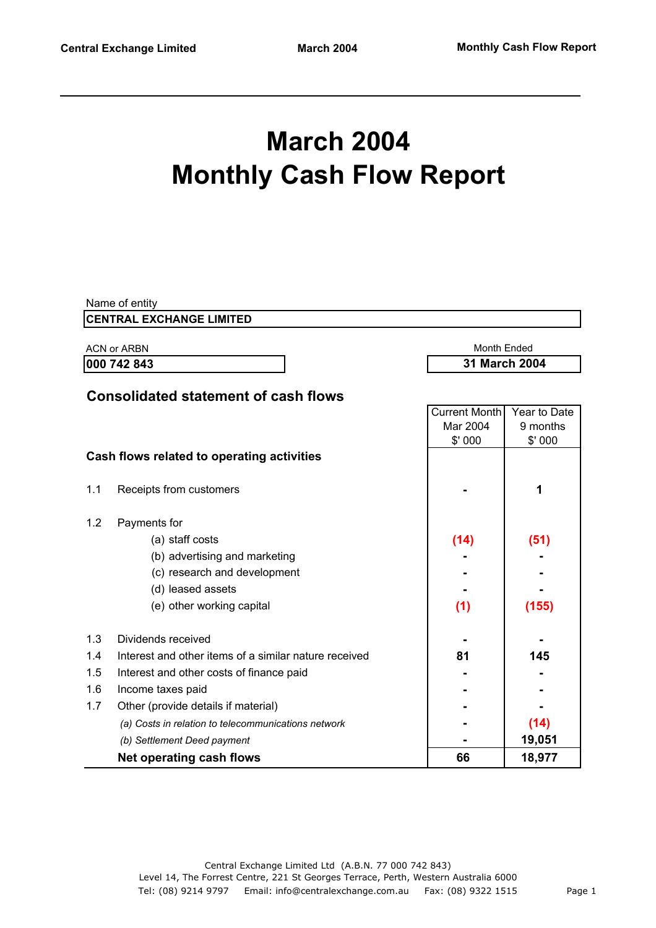# **March 2004 Monthly Cash Flow Report**

|             | Name of entity                                        |                      |               |  |
|-------------|-------------------------------------------------------|----------------------|---------------|--|
|             | <b>CENTRAL EXCHANGE LIMITED</b>                       |                      |               |  |
|             | <b>ACN or ARBN</b>                                    | Month Ended          |               |  |
| 000 742 843 |                                                       |                      | 31 March 2004 |  |
|             |                                                       |                      |               |  |
|             | <b>Consolidated statement of cash flows</b>           |                      |               |  |
|             |                                                       | <b>Current Month</b> | Year to Date  |  |
|             |                                                       | Mar 2004             | 9 months      |  |
|             |                                                       | \$'000               | \$'000        |  |
|             | Cash flows related to operating activities            |                      |               |  |
| 1.1         | Receipts from customers                               |                      | 1             |  |
|             |                                                       |                      |               |  |
| 1.2         | Payments for                                          |                      |               |  |
|             | (a) staff costs                                       | (14)                 | (51)          |  |
|             | (b) advertising and marketing                         |                      |               |  |
|             | (c) research and development                          |                      |               |  |
|             | (d) leased assets                                     |                      |               |  |
|             | (e) other working capital                             | (1)                  | (155)         |  |
|             |                                                       |                      |               |  |
| 1.3         | Dividends received                                    |                      |               |  |
| 1.4         | Interest and other items of a similar nature received | 81                   | 145           |  |
| 1.5         | Interest and other costs of finance paid              |                      |               |  |
| 1.6         | Income taxes paid                                     |                      |               |  |
| 1.7         | Other (provide details if material)                   |                      |               |  |
|             | (a) Costs in relation to telecommunications network   |                      | (14)          |  |
|             | (b) Settlement Deed payment                           |                      | 19,051        |  |
|             | <b>Net operating cash flows</b>                       | 66                   | 18,977        |  |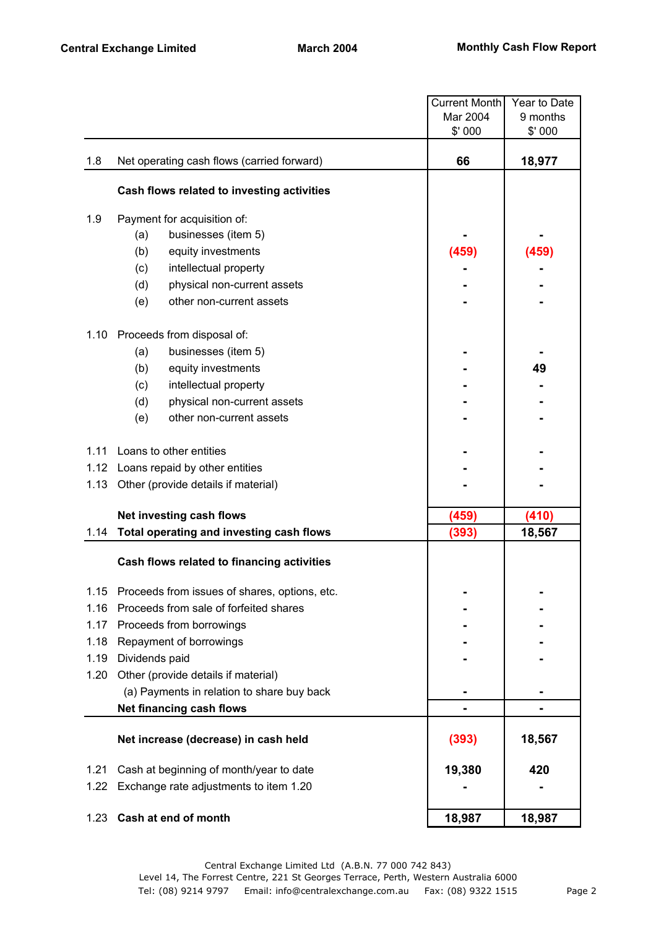|      |                                               | <b>Current Month</b> | Year to Date |
|------|-----------------------------------------------|----------------------|--------------|
|      |                                               | Mar 2004             | 9 months     |
|      |                                               | \$' 000              | \$'000       |
| 1.8  | Net operating cash flows (carried forward)    | 66                   | 18,977       |
|      | Cash flows related to investing activities    |                      |              |
| 1.9  | Payment for acquisition of:                   |                      |              |
|      | businesses (item 5)<br>(a)                    |                      |              |
|      | (b)<br>equity investments                     | (459)                | (459)        |
|      | (c)<br>intellectual property                  |                      |              |
|      | (d)<br>physical non-current assets            |                      |              |
|      | other non-current assets<br>(e)               |                      |              |
| 1.10 | Proceeds from disposal of:                    |                      |              |
|      | (a)<br>businesses (item 5)                    |                      |              |
|      | (b)<br>equity investments                     |                      | 49           |
|      | intellectual property<br>(c)                  |                      |              |
|      | physical non-current assets<br>(d)            |                      |              |
|      | (e)<br>other non-current assets               |                      |              |
| 1.11 | Loans to other entities                       |                      |              |
|      | 1.12 Loans repaid by other entities           |                      |              |
| 1.13 | Other (provide details if material)           |                      |              |
|      | Net investing cash flows                      | (459)                | (410)        |
| 1.14 | Total operating and investing cash flows      | (393)                | 18,567       |
|      | Cash flows related to financing activities    |                      |              |
| 1.15 | Proceeds from issues of shares, options, etc. |                      |              |
| 1.16 | Proceeds from sale of forfeited shares        |                      |              |
| 1.17 | Proceeds from borrowings                      |                      |              |
| 1.18 | Repayment of borrowings                       |                      |              |
| 1.19 | Dividends paid                                |                      |              |
| 1.20 | Other (provide details if material)           |                      |              |
|      | (a) Payments in relation to share buy back    |                      |              |
|      | Net financing cash flows                      |                      |              |
|      | Net increase (decrease) in cash held          | (393)                | 18,567       |
| 1.21 | Cash at beginning of month/year to date       | 19,380               | 420          |
| 1.22 | Exchange rate adjustments to item 1.20        |                      |              |
| 1.23 | Cash at end of month                          | 18,987               | 18,987       |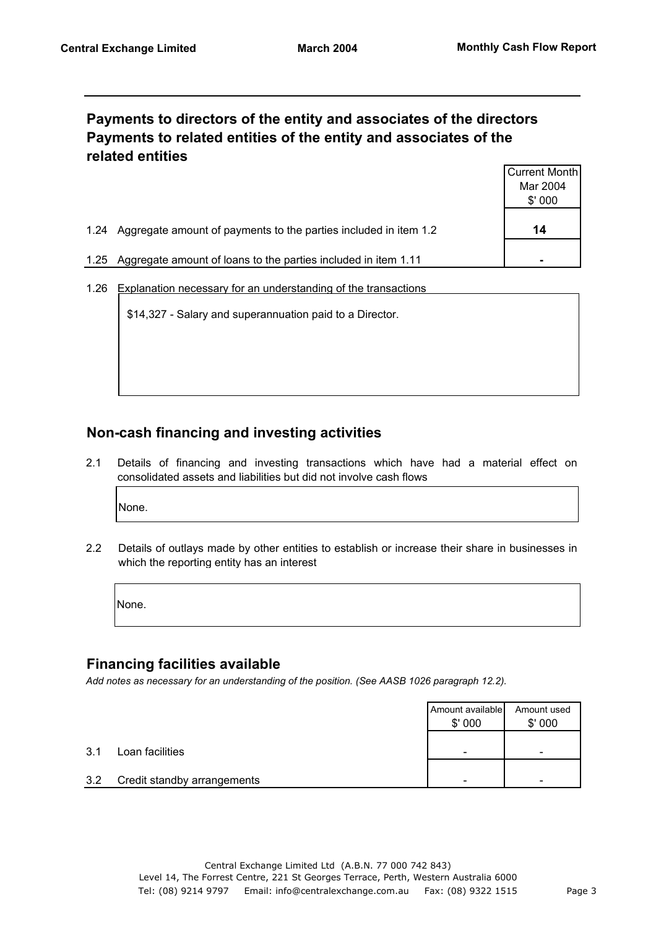### **Payments to directors of the entity and associates of the directors Payments to related entities of the entity and associates of the related entities**

|      |                                                                  | Current Month |
|------|------------------------------------------------------------------|---------------|
|      |                                                                  | Mar 2004      |
|      |                                                                  | \$'000        |
| 1.24 | Aggregate amount of payments to the parties included in item 1.2 | 14            |
| 1.25 | Aggregate amount of loans to the parties included in item 1.11   |               |

1.26 Explanation necessary for an understanding of the transactions

\$14,327 - Salary and superannuation paid to a Director.

# **Non-cash financing and investing activities**

2.1 Details of financing and investing transactions which have had a material effect on consolidated assets and liabilities but did not involve cash flows

None.

2.2 Details of outlays made by other entities to establish or increase their share in businesses in which the reporting entity has an interest

None.

#### **Financing facilities available**

*Add notes as necessary for an understanding of the position. (See AASB 1026 paragraph 12.2).*

|     |                             | Amount available<br>\$'000 | Amount used<br>\$'000 |
|-----|-----------------------------|----------------------------|-----------------------|
| 3.1 | Loan facilities             | -                          | -                     |
| 3.2 | Credit standby arrangements | -                          | -                     |